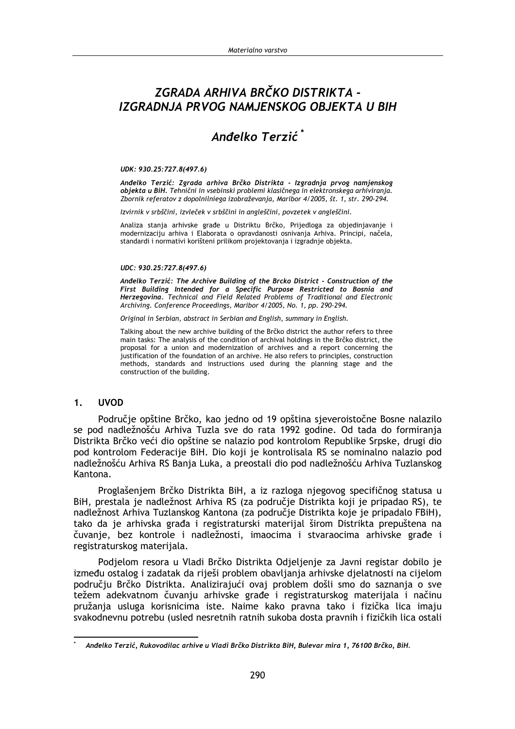# ZGRADA ARHIVA BRČKO DISTRIKTA -IZGRADNJA PRVOG NAMJENSKOG OBJEKTA U BIH

# Anđelko Terzić<sup>\*</sup>

### UDK: 930.25:727.8(497.6)

Anđelko Terzić: Zgrada arhiva Brčko Distrikta - Izgradnja prvog namjenskog objekta u BiH. Tehnični in vsebinski problemi klasičnega in elektronskega arhiviranja. Zbornik referatov z dopolnilniega izobraževanja, Maribor 4/2005, št. 1, str. 290-294.

Izvirnik v srbščini, izvleček v srbščini in angleščini, povzetek v angleščini.

Analiza stanja arhivske građe u Distriktu Brčko, Prijedloga za objedinjavanje i modernizaciju arhiva i Elaborata o opravdanosti osnivania Arhiva. Principi, načela, standardi i normativi korišteni prilikom projektovanja i izgradnje objekta.

### UDC: 930.25:727.8(497.6)

Anđelko Terzić: The Archive Building of the Brcko District - Construction of the First Building Intended for a Specific Purpose Restricted to Bosnia and Herzegovina. Technical and Field Related Problems of Traditional and Electronic Archiving. Conference Proceedings, Maribor 4/2005, No. 1, pp. 290-294.

Original in Serbian, abstract in Serbian and English, summary in English.

Talking about the new archive building of the Brčko district the author refers to three main tasks: The analysis of the condition of archival holdings in the Brčko district, the proposal for a union and modernization of archives and a report concerning the justification of the foundation of an archive. He also refers to principles, construction methods, standards and instructions used during the planning stage and the construction of the building.

#### $1.$ **UVOD**

Područje opštine Brčko, kao jedno od 19 opština sjeveroistočne Bosne nalazilo se pod nadležnošću Arhiva Tuzla sve do rata 1992 godine. Od tada do formiranja Distrikta Brčko veći dio opštine se nalazio pod kontrolom Republike Srpske, drugi dio pod kontrolom Federacije BiH. Dio koji je kontrolisala RS se nominalno nalazio pod nadležnošću Arhiva RS Banja Luka, a preostali dio pod nadležnošću Arhiva Tuzlanskog Kantona.

Proglašenjem Brčko Distrikta BiH, a iz razloga njegovog specifičnog statusa u BiH, prestala je nadležnost Arhiva RS (za područje Distrikta koji je pripadao RS), te nadležnost Arhiva Tuzlanskog Kantona (za područje Distrikta koje je pripadalo FBiH), tako da je arhivska građa i registraturski materijal širom Distrikta prepuštena na čuvanje, bez kontrole i nadležnosti, imaocima i stvaraocima arhivske građe i registraturskog materijala.

Podjelom resora u Vladi Brčko Distrikta Odjeljenje za Javni registar dobilo je između ostalog i zadatak da riješi problem obavljanja arhivske djelatnosti na cijelom području Brčko Distrikta. Analizirajući ovaj problem došli smo do saznanja o sve težem adekvatnom čuvanju arhivske građe i registraturskog materijala i načinu pružanja usluga korisnicima iste. Naime kako pravna tako i fizička lica imaju svakodnevnu potrebu (usled nesretnih ratnih sukoba dosta pravnih i fizičkih lica ostali

Anđelko Terzić, Rukovodilac arhive u Vladi Brčko Distrikta BiH, Bulevar mira 1, 76100 Brčko, BiH.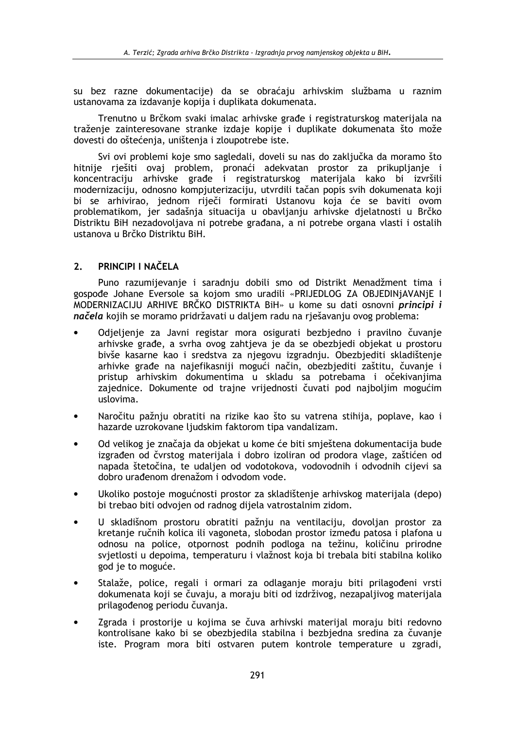su bez razne dokumentacije) da se obraćaju arhivskim službama u raznim ustanovama za izdavanie kopija i duplikata dokumenata.

Trenutno u Brčkom svaki imalac arhivske građe i registraturskog materijala na traženie zainteresovane stranke izdaje kopije i duplikate dokumenata što može dovesti do oštećenja, uništenja i zloupotrebe iste.

Svi ovi problemi koje smo sagledali, doveli su nas do zaključka da moramo što hitnije rješiti ovaj problem, pronaći adekvatan prostor za prikupljanje i koncentraciju arhivske građe i registraturskog materijala kako bi izvršili modernizaciju, odnosno kompjuterizaciju, utvrdili tačan popis svih dokumenata koji bi se arhivirao, jednom riječi formirati Ustanovu koja će se baviti ovom problematikom, jer sadašnja situacija u obavljanju arhivske djelatnosti u Brčko Distriktu BiH nezadovoljava ni potrebe građana, a ni potrebe organa vlasti i ostalih ustanova u Brčko Distriktu BiH.

#### $2.$ PRINCIPI I NAČELA

Puno razumijevanje i saradnju dobili smo od Distrikt Menadžment tima i gospođe Johane Eversole sa kojom smo uradili «PRIJEDLOG ZA OBJEDINJAVANJE I MODERNIZACIJU ARHIVE BRČKO DISTRIKTA BiH» u kome su dati osnovni principi i načela kojih se moramo pridržavati u daljem radu na rješavanju ovog problema:

- Odjeljenje za Javni registar mora osigurati bezbjedno i pravilno čuvanje arhivske građe, a svrha ovog zahtjeva je da se obezbjedi objekat u prostoru bivše kasarne kao i sredstva za njegovu izgradnju. Obezbjediti skladištenje arhivke građe na najefikasniji mogući način, obezbjediti zaštitu, čuvanje i pristup arhivskim dokumentima u skladu sa potrebama i očekivanjima zajednice. Dokumente od trajne vrijednosti čuvati pod najboljim mogućim uslovima.
- Naročitu pažnju obratiti na rizike kao što su vatrena stihija, poplave, kao i  $\bullet$ hazarde uzrokovane ljudskim faktorom tipa vandalizam.
- Od velikog je značaja da objekat u kome će biti smještena dokumentacija bude izgrađen od čvrstog materijala i dobro izoliran od prodora vlage, zaštićen od napada štetočina, te udalien od vodotokova, vodovodnih i odvodnih cijevi sa dobro urađenom drenažom i odvodom vode.
- Ukoliko postoje mogućnosti prostor za skladištenje arhivskog materijala (depo) bi trebao biti odvojen od radnog dijela vatrostalnim zidom.
- U skladišnom prostoru obratiti pažniu na ventilaciju, dovoljan prostor za kretanje ručnih kolica ili vagoneta, slobodan prostor između patosa i plafona u odnosu na police, otpornost podnih podloga na težinu, količinu prirodne svjetlosti u depoima, temperaturu i vlažnost koja bi trebala biti stabilna koliko god je to moguće.
- Stalaže, police, regali i ormari za odlaganje moraju biti prilagođeni vrsti dokumenata koji se čuvaju, a moraju biti od izdrživog, nezapaljivog materijala prilagođenog periodu čuvanja.
- Zgrada i prostorije u kojima se čuva arhivski materijal moraju biti redovno kontrolisane kako bi se obezbjedila stabilna i bezbjedna sredina za čuvanje iste. Program mora biti ostvaren putem kontrole temperature u zgradi,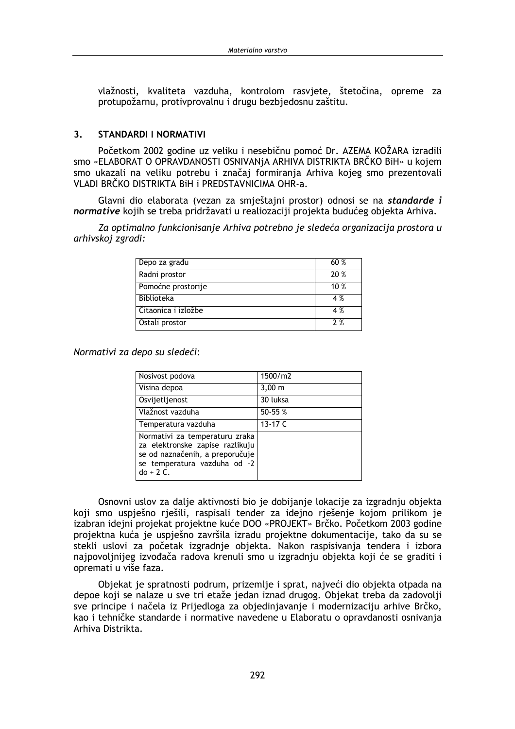vlažnosti, kvaliteta vazduha, kontrolom rasviete, štetočina, opreme za protupožarnu, protivprovalnu i drugu bezbiedosnu zaštitu.

#### **STANDARDI I NORMATIVI**  $\overline{\mathbf{3}}$

Početkom 2002 godine uz veliku i nesebičnu pomoć Dr. AZEMA KOŽARA izradili smo «ELABORAT O OPRAVDANOSTI OSNIVANJA ARHIVA DISTRIKTA BRČKO BiH» u kojem smo ukazali na veliku potrebu i značaj formiranja Arhiva kojeg smo prezentovali VLADI BRČKO DISTRIKTA BIH I PREDSTAVNICIMA OHR-a.

Glavni dio elaborata (vezan za smještajni prostor) odnosi se na standarde i normative kojih se treba pridržavati u realiozaciji projekta budućeg objekta Arhiva.

Za optimalno funkcionisanje Arhiva potrebno je sledeća organizacija prostora u arhivskoj zgradi:

| Depo za građu       | 60%  |
|---------------------|------|
| Radni prostor       | 20 % |
| Pomoćne prostorije  | 10%  |
| <b>Biblioteka</b>   | 4 %  |
| Čitaonica i izložbe | 4 %  |
| Ostali prostor      | 2%   |

Normativi za depo su sledeći:

| Nosivost podova                                                                                                                                     | 1500/m2            |
|-----------------------------------------------------------------------------------------------------------------------------------------------------|--------------------|
| Visina depoa                                                                                                                                        | $3,00 \; \text{m}$ |
| Osvijetljenost                                                                                                                                      | 30 luksa           |
| Vlažnost vazduha                                                                                                                                    | 50-55 %            |
| Temperatura vazduha                                                                                                                                 | 13-17 C            |
| Normativi za temperaturu zraka<br>za elektronske zapise razlikuju<br>se od naznačenih, a preporučuje<br>se temperatura vazduha od -2<br>$do + 2 C.$ |                    |

Osnovni uslov za dalje aktivnosti bio je dobijanje lokacije za izgradnju objekta koji smo uspješno rješili, raspisali tender za idejno rješenje kojom prilikom je izabran idejni projekat projektne kuće DOO «PROJEKT» Brčko. Početkom 2003 godine projektna kuća je uspješno završila izradu projektne dokumentacije, tako da su se stekli uslovi za početak izgradnje objekta. Nakon raspisivanja tendera i izbora najpovoljnijeg izvođača radova krenuli smo u izgradnju objekta koji će se graditi i opremati u više faza.

Objekat je spratnosti podrum, prizemlje i sprat, najveći dio objekta otpada na depoe koji se nalaze u sve tri etaže jedan iznad drugog. Objekat treba da zadovolji sve principe i načela iz Prijedloga za objedinjavanje i modernizaciju arhive Brčko, kao i tehničke standarde i normative navedene u Elaboratu o opravdanosti osnivanja Arhiva Distrikta.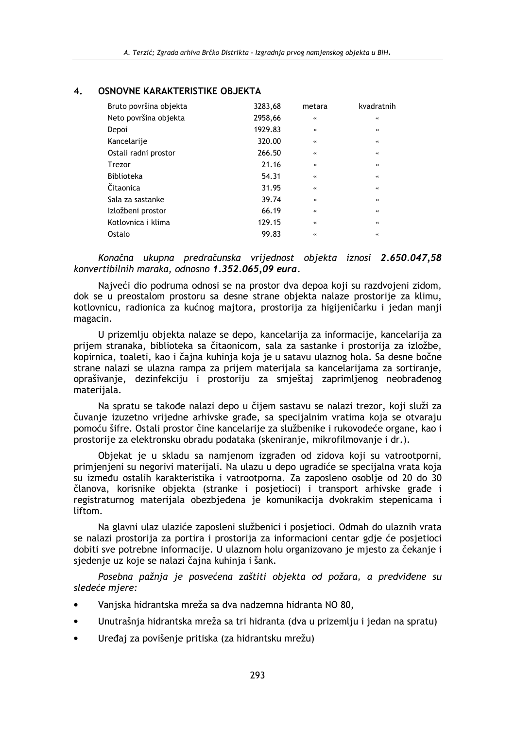| Bruto površina objekta | 3283,68 | metara  | kvadratnih        |
|------------------------|---------|---------|-------------------|
| Neto površina objekta  | 2958,66 | $\prec$ | $\prec$           |
| Depoi                  | 1929.83 | $\prec$ | $\prec$           |
| Kancelarije            | 320.00  | $\prec$ | $\prec$           |
| Ostali radni prostor   | 266.50  | $\prec$ | $\prec$           |
| <b>Trezor</b>          | 21.16   | $\prec$ | $\prec$           |
| <b>Biblioteka</b>      | 54.31   | $\prec$ | $\prec$           |
| Čitaonica              | 31.95   | $\prec$ | $\leftrightarrow$ |
| Sala za sastanke       | 39.74   | $\prec$ | $\prec$           |
| Izložbeni prostor      | 66.19   | $\prec$ | $\prec$           |
| Kotlovnica i klima     | 129.15  | $\prec$ | $\prec$           |
| Ostalo                 | 99.83   | $\prec$ | $\prec$           |

#### OSNOVNE KARAKTERISTIKE OBJEKTA  $\overline{\mathbf{4}}$ .

Konačna ukupna predračunska vrijednost objekta iznosi 2.650.047,58 konvertibilnih maraka, odnosno 1.352.065,09 eura.

Najveći dio podruma odnosi se na prostor dva depoa koji su razdvojeni zidom, dok se u preostalom prostoru sa desne strane objekta nalaze prostorije za klimu, kotlovnicu, radionica za kućnog majtora, prostorija za higijeničarku i jedan manji magacin.

U prizemlju objekta nalaze se depo, kancelarija za informacije, kancelarija za prijem stranaka, biblioteka sa čitaonicom, sala za sastanke i prostorija za izložbe, kopirnica, toaleti, kao i čajna kuhinja koja je u satavu ulaznog hola. Sa desne bočne strane nalazi se ulazna rampa za prijem materijala sa kancelarijama za sortiranje, oprašivanje, dezinfekciju i prostoriju za smještaj zaprimljenog neobrađenog materijala.

Na spratu se takođe nalazi depo u čijem sastavu se nalazi trezor, koji služi za čuvanje izuzetno vrijedne arhivske građe, sa specijalnim vratima koja se otvaraju pomoću šifre. Ostali prostor čine kancelarije za službenike i rukovodeće organe, kao i prostorije za elektronsku obradu podataka (skeniranje, mikrofilmovanje i dr.).

Objekat je u skladu sa namjenom izgrađen od zidova koji su vatrootporni, primjenjeni su negorivi materijali. Na ulazu u depo ugradiće se specijalna vrata koja su između ostalih karakteristika i vatrootporna. Za zaposleno osoblje od 20 do 30 članova, korisnike objekta (stranke i posjetioci) i transport arhivske građe i registraturnog materijala obezbjeđena je komunikacija dvokrakim stepenicama i liftom

Na glavni ulaz ulaziće zaposleni službenici i posjetioci. Odmah do ulaznih vrata se nalazi prostorija za portira i prostorija za informacioni centar gdje će posjetioci dobiti sve potrebne informacije. U ulaznom holu organizovano je mjesto za čekanje i sjedenje uz koje se nalazi čajna kuhinja i šank.

Posebna pažnja je posvećena zaštiti objekta od požara, a predviđene su sledeće mjere:

- Vanjska hidrantska mreža sa dva nadzemna hidranta NO 80,
- Unutrašnja hidrantska mreža sa tri hidranta (dva u prizemlju i jedan na spratu)
- Uređaj za povišenje pritiska (za hidrantsku mrežu)  $\bullet$